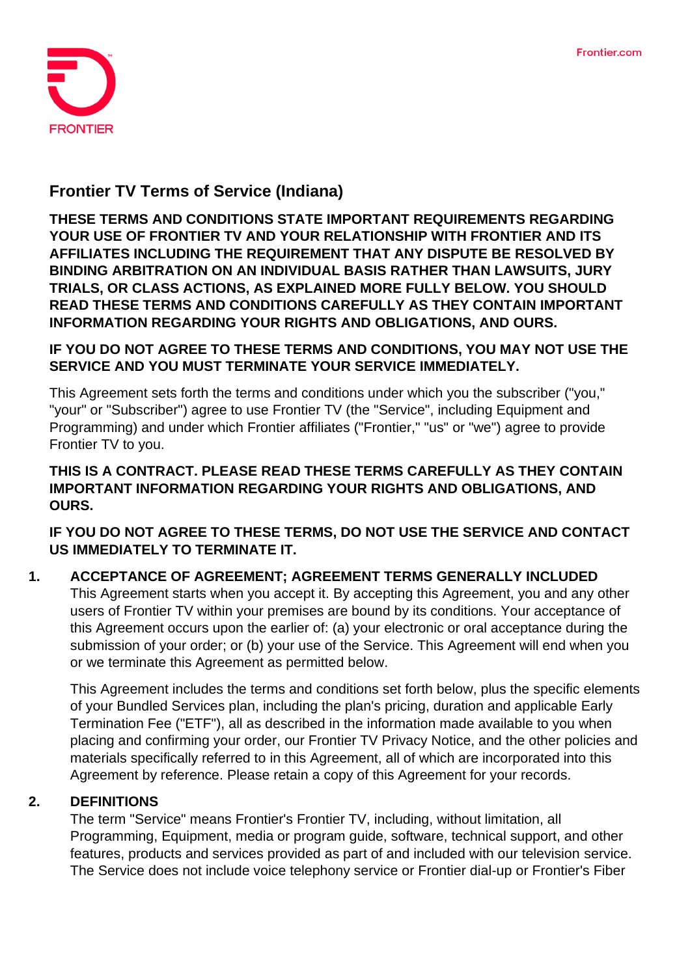

# **Frontier TV Terms of Service (Indiana)**

**THESE TERMS AND CONDITIONS STATE IMPORTANT REQUIREMENTS REGARDING YOUR USE OF FRONTIER TV AND YOUR RELATIONSHIP WITH FRONTIER AND ITS AFFILIATES INCLUDING THE REQUIREMENT THAT ANY DISPUTE BE RESOLVED BY BINDING ARBITRATION ON AN INDIVIDUAL BASIS RATHER THAN LAWSUITS, JURY TRIALS, OR CLASS ACTIONS, AS EXPLAINED MORE FULLY BELOW. YOU SHOULD READ THESE TERMS AND CONDITIONS CAREFULLY AS THEY CONTAIN IMPORTANT INFORMATION REGARDING YOUR RIGHTS AND OBLIGATIONS, AND OURS.**

#### **IF YOU DO NOT AGREE TO THESE TERMS AND CONDITIONS, YOU MAY NOT USE THE SERVICE AND YOU MUST TERMINATE YOUR SERVICE IMMEDIATELY.**

This Agreement sets forth the terms and conditions under which you the subscriber ("you," "your" or "Subscriber") agree to use Frontier TV (the "Service", including Equipment and Programming) and under which Frontier affiliates ("Frontier," "us" or "we") agree to provide Frontier TV to you.

## **THIS IS A CONTRACT. PLEASE READ THESE TERMS CAREFULLY AS THEY CONTAIN IMPORTANT INFORMATION REGARDING YOUR RIGHTS AND OBLIGATIONS, AND OURS.**

**IF YOU DO NOT AGREE TO THESE TERMS, DO NOT USE THE SERVICE AND CONTACT US IMMEDIATELY TO TERMINATE IT.**

#### **1. ACCEPTANCE OF AGREEMENT; AGREEMENT TERMS GENERALLY INCLUDED** This Agreement starts when you accept it. By accepting this Agreement, you and any other users of Frontier TV within your premises are bound by its conditions. Your acceptance of this Agreement occurs upon the earlier of: (a) your electronic or oral acceptance during the submission of your order; or (b) your use of the Service. This Agreement will end when you or we terminate this Agreement as permitted below.

This Agreement includes the terms and conditions set forth below, plus the specific elements of your Bundled Services plan, including the plan's pricing, duration and applicable Early Termination Fee ("ETF"), all as described in the information made available to you when placing and confirming your order, our Frontier TV Privacy Notice, and the other policies and materials specifically referred to in this Agreement, all of which are incorporated into this Agreement by reference. Please retain a copy of this Agreement for your records.

## **2. DEFINITIONS**

The term "Service" means Frontier's Frontier TV, including, without limitation, all Programming, Equipment, media or program guide, software, technical support, and other features, products and services provided as part of and included with our television service. The Service does not include voice telephony service or Frontier dial-up or Frontier's Fiber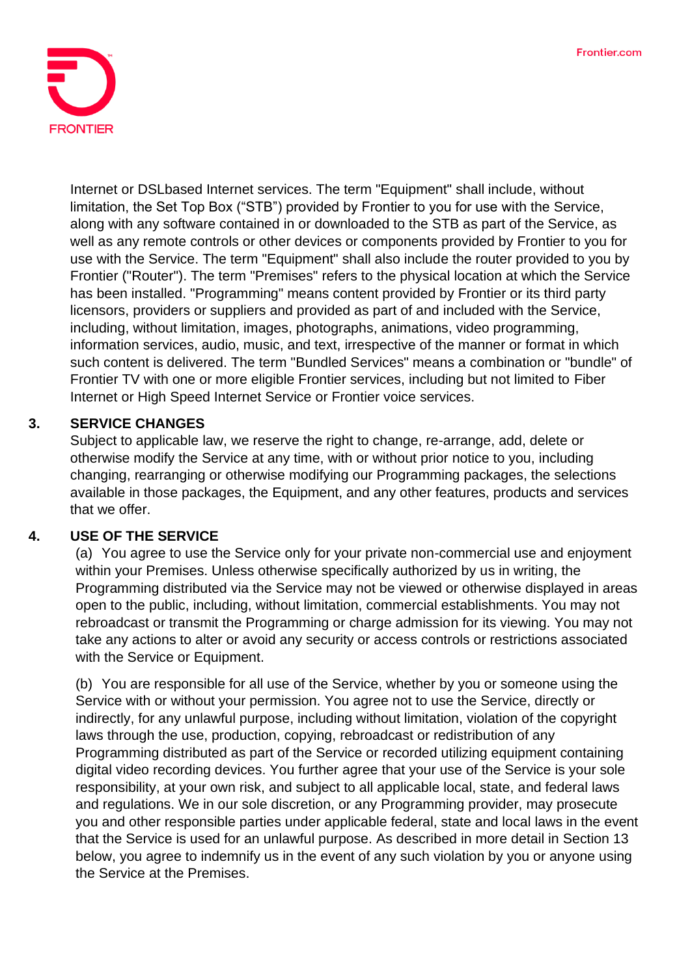

Internet or DSLbased Internet services. The term "Equipment" shall include, without limitation, the Set Top Box ("STB") provided by Frontier to you for use with the Service, along with any software contained in or downloaded to the STB as part of the Service, as well as any remote controls or other devices or components provided by Frontier to you for use with the Service. The term "Equipment" shall also include the router provided to you by Frontier ("Router"). The term "Premises" refers to the physical location at which the Service has been installed. "Programming" means content provided by Frontier or its third party licensors, providers or suppliers and provided as part of and included with the Service, including, without limitation, images, photographs, animations, video programming, information services, audio, music, and text, irrespective of the manner or format in which such content is delivered. The term "Bundled Services" means a combination or "bundle" of Frontier TV with one or more eligible Frontier services, including but not limited to Fiber Internet or High Speed Internet Service or Frontier voice services.

## **3. SERVICE CHANGES**

Subject to applicable law, we reserve the right to change, re-arrange, add, delete or otherwise modify the Service at any time, with or without prior notice to you, including changing, rearranging or otherwise modifying our Programming packages, the selections available in those packages, the Equipment, and any other features, products and services that we offer.

#### **4. USE OF THE SERVICE**

(a) You agree to use the Service only for your private non-commercial use and enjoyment within your Premises. Unless otherwise specifically authorized by us in writing, the Programming distributed via the Service may not be viewed or otherwise displayed in areas open to the public, including, without limitation, commercial establishments. You may not rebroadcast or transmit the Programming or charge admission for its viewing. You may not take any actions to alter or avoid any security or access controls or restrictions associated with the Service or Equipment.

(b) You are responsible for all use of the Service, whether by you or someone using the Service with or without your permission. You agree not to use the Service, directly or indirectly, for any unlawful purpose, including without limitation, violation of the copyright laws through the use, production, copying, rebroadcast or redistribution of any Programming distributed as part of the Service or recorded utilizing equipment containing digital video recording devices. You further agree that your use of the Service is your sole responsibility, at your own risk, and subject to all applicable local, state, and federal laws and regulations. We in our sole discretion, or any Programming provider, may prosecute you and other responsible parties under applicable federal, state and local laws in the event that the Service is used for an unlawful purpose. As described in more detail in Section 13 below, you agree to indemnify us in the event of any such violation by you or anyone using the Service at the Premises.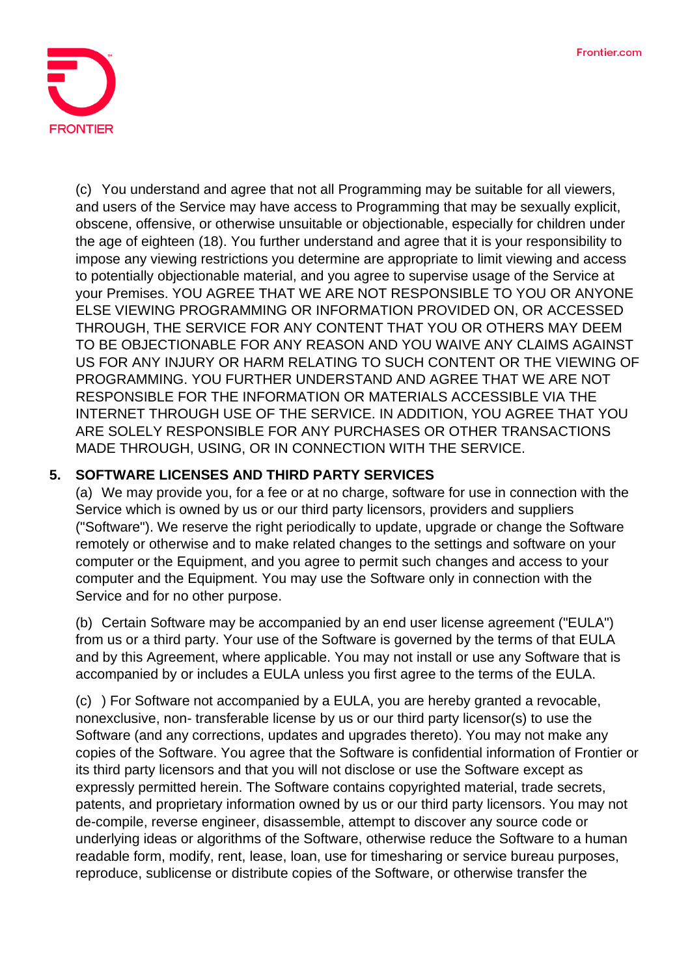

(c) You understand and agree that not all Programming may be suitable for all viewers, and users of the Service may have access to Programming that may be sexually explicit, obscene, offensive, or otherwise unsuitable or objectionable, especially for children under the age of eighteen (18). You further understand and agree that it is your responsibility to impose any viewing restrictions you determine are appropriate to limit viewing and access to potentially objectionable material, and you agree to supervise usage of the Service at your Premises. YOU AGREE THAT WE ARE NOT RESPONSIBLE TO YOU OR ANYONE ELSE VIEWING PROGRAMMING OR INFORMATION PROVIDED ON, OR ACCESSED THROUGH, THE SERVICE FOR ANY CONTENT THAT YOU OR OTHERS MAY DEEM TO BE OBJECTIONABLE FOR ANY REASON AND YOU WAIVE ANY CLAIMS AGAINST US FOR ANY INJURY OR HARM RELATING TO SUCH CONTENT OR THE VIEWING OF PROGRAMMING. YOU FURTHER UNDERSTAND AND AGREE THAT WE ARE NOT RESPONSIBLE FOR THE INFORMATION OR MATERIALS ACCESSIBLE VIA THE INTERNET THROUGH USE OF THE SERVICE. IN ADDITION, YOU AGREE THAT YOU ARE SOLELY RESPONSIBLE FOR ANY PURCHASES OR OTHER TRANSACTIONS MADE THROUGH, USING, OR IN CONNECTION WITH THE SERVICE.

## **5. SOFTWARE LICENSES AND THIRD PARTY SERVICES**

(a) We may provide you, for a fee or at no charge, software for use in connection with the Service which is owned by us or our third party licensors, providers and suppliers ("Software"). We reserve the right periodically to update, upgrade or change the Software remotely or otherwise and to make related changes to the settings and software on your computer or the Equipment, and you agree to permit such changes and access to your computer and the Equipment. You may use the Software only in connection with the Service and for no other purpose.

(b) Certain Software may be accompanied by an end user license agreement ("EULA") from us or a third party. Your use of the Software is governed by the terms of that EULA and by this Agreement, where applicable. You may not install or use any Software that is accompanied by or includes a EULA unless you first agree to the terms of the EULA.

(c) ) For Software not accompanied by a EULA, you are hereby granted a revocable, nonexclusive, non- transferable license by us or our third party licensor(s) to use the Software (and any corrections, updates and upgrades thereto). You may not make any copies of the Software. You agree that the Software is confidential information of Frontier or its third party licensors and that you will not disclose or use the Software except as expressly permitted herein. The Software contains copyrighted material, trade secrets, patents, and proprietary information owned by us or our third party licensors. You may not de-compile, reverse engineer, disassemble, attempt to discover any source code or underlying ideas or algorithms of the Software, otherwise reduce the Software to a human readable form, modify, rent, lease, loan, use for timesharing or service bureau purposes, reproduce, sublicense or distribute copies of the Software, or otherwise transfer the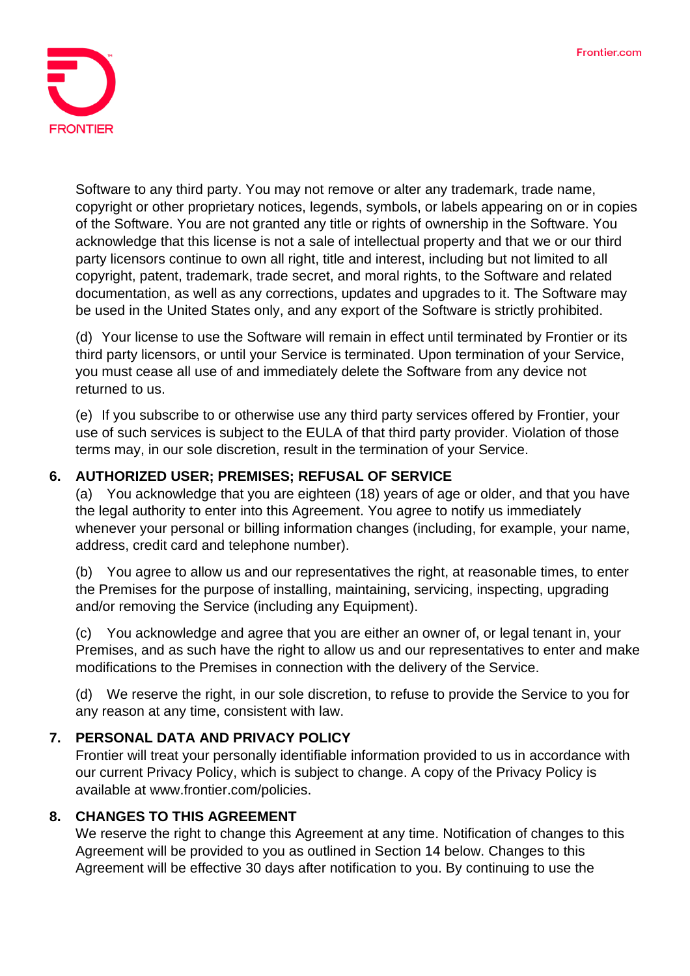

Software to any third party. You may not remove or alter any trademark, trade name, copyright or other proprietary notices, legends, symbols, or labels appearing on or in copies of the Software. You are not granted any title or rights of ownership in the Software. You acknowledge that this license is not a sale of intellectual property and that we or our third party licensors continue to own all right, title and interest, including but not limited to all copyright, patent, trademark, trade secret, and moral rights, to the Software and related documentation, as well as any corrections, updates and upgrades to it. The Software may be used in the United States only, and any export of the Software is strictly prohibited.

(d) Your license to use the Software will remain in effect until terminated by Frontier or its third party licensors, or until your Service is terminated. Upon termination of your Service, you must cease all use of and immediately delete the Software from any device not returned to us.

(e) If you subscribe to or otherwise use any third party services offered by Frontier, your use of such services is subject to the EULA of that third party provider. Violation of those terms may, in our sole discretion, result in the termination of your Service.

## **6. AUTHORIZED USER; PREMISES; REFUSAL OF SERVICE**

(a) You acknowledge that you are eighteen (18) years of age or older, and that you have the legal authority to enter into this Agreement. You agree to notify us immediately whenever your personal or billing information changes (including, for example, your name, address, credit card and telephone number).

(b) You agree to allow us and our representatives the right, at reasonable times, to enter the Premises for the purpose of installing, maintaining, servicing, inspecting, upgrading and/or removing the Service (including any Equipment).

(c) You acknowledge and agree that you are either an owner of, or legal tenant in, your Premises, and as such have the right to allow us and our representatives to enter and make modifications to the Premises in connection with the delivery of the Service.

(d) We reserve the right, in our sole discretion, to refuse to provide the Service to you for any reason at any time, consistent with law.

#### **7. PERSONAL DATA AND PRIVACY POLICY**

Frontier will treat your personally identifiable information provided to us in accordance with our current Privacy Policy, which is subject to change. A copy of the Privacy Policy is available at www.frontier.com/policies.

#### **8. CHANGES TO THIS AGREEMENT**

We reserve the right to change this Agreement at any time. Notification of changes to this Agreement will be provided to you as outlined in Section 14 below. Changes to this Agreement will be effective 30 days after notification to you. By continuing to use the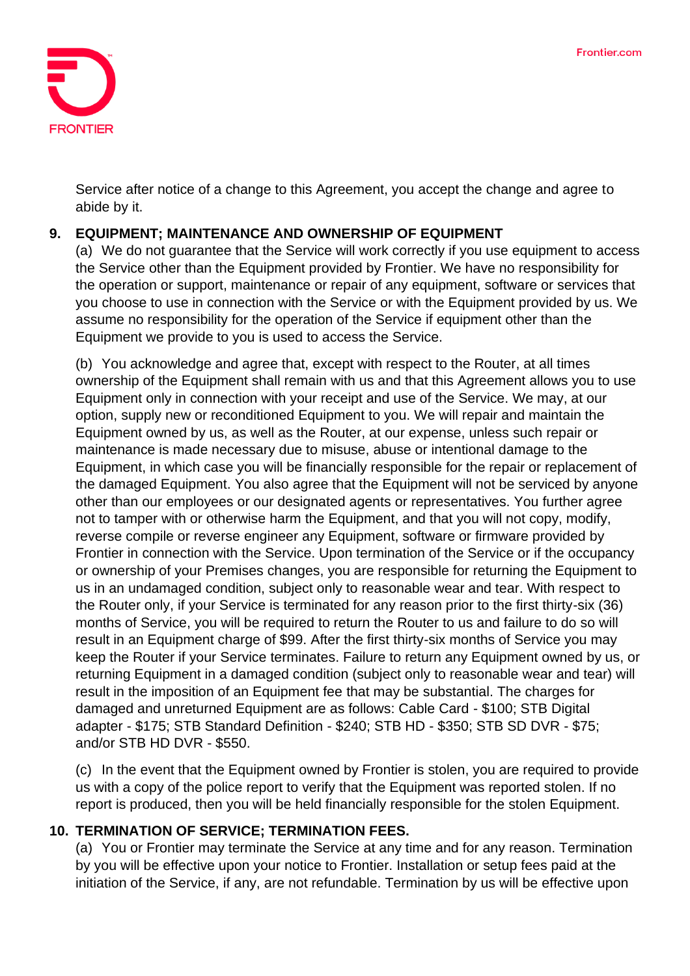

Service after notice of a change to this Agreement, you accept the change and agree to abide by it.

## **9. EQUIPMENT; MAINTENANCE AND OWNERSHIP OF EQUIPMENT**

(a) We do not guarantee that the Service will work correctly if you use equipment to access the Service other than the Equipment provided by Frontier. We have no responsibility for the operation or support, maintenance or repair of any equipment, software or services that you choose to use in connection with the Service or with the Equipment provided by us. We assume no responsibility for the operation of the Service if equipment other than the Equipment we provide to you is used to access the Service.

(b) You acknowledge and agree that, except with respect to the Router, at all times ownership of the Equipment shall remain with us and that this Agreement allows you to use Equipment only in connection with your receipt and use of the Service. We may, at our option, supply new or reconditioned Equipment to you. We will repair and maintain the Equipment owned by us, as well as the Router, at our expense, unless such repair or maintenance is made necessary due to misuse, abuse or intentional damage to the Equipment, in which case you will be financially responsible for the repair or replacement of the damaged Equipment. You also agree that the Equipment will not be serviced by anyone other than our employees or our designated agents or representatives. You further agree not to tamper with or otherwise harm the Equipment, and that you will not copy, modify, reverse compile or reverse engineer any Equipment, software or firmware provided by Frontier in connection with the Service. Upon termination of the Service or if the occupancy or ownership of your Premises changes, you are responsible for returning the Equipment to us in an undamaged condition, subject only to reasonable wear and tear. With respect to the Router only, if your Service is terminated for any reason prior to the first thirty-six (36) months of Service, you will be required to return the Router to us and failure to do so will result in an Equipment charge of \$99. After the first thirty-six months of Service you may keep the Router if your Service terminates. Failure to return any Equipment owned by us, or returning Equipment in a damaged condition (subject only to reasonable wear and tear) will result in the imposition of an Equipment fee that may be substantial. The charges for damaged and unreturned Equipment are as follows: Cable Card - \$100; STB Digital adapter - \$175; STB Standard Definition - \$240; STB HD - \$350; STB SD DVR - \$75; and/or STB HD DVR - \$550.

(c) In the event that the Equipment owned by Frontier is stolen, you are required to provide us with a copy of the police report to verify that the Equipment was reported stolen. If no report is produced, then you will be held financially responsible for the stolen Equipment.

#### **10. TERMINATION OF SERVICE; TERMINATION FEES.**

(a) You or Frontier may terminate the Service at any time and for any reason. Termination by you will be effective upon your notice to Frontier. Installation or setup fees paid at the initiation of the Service, if any, are not refundable. Termination by us will be effective upon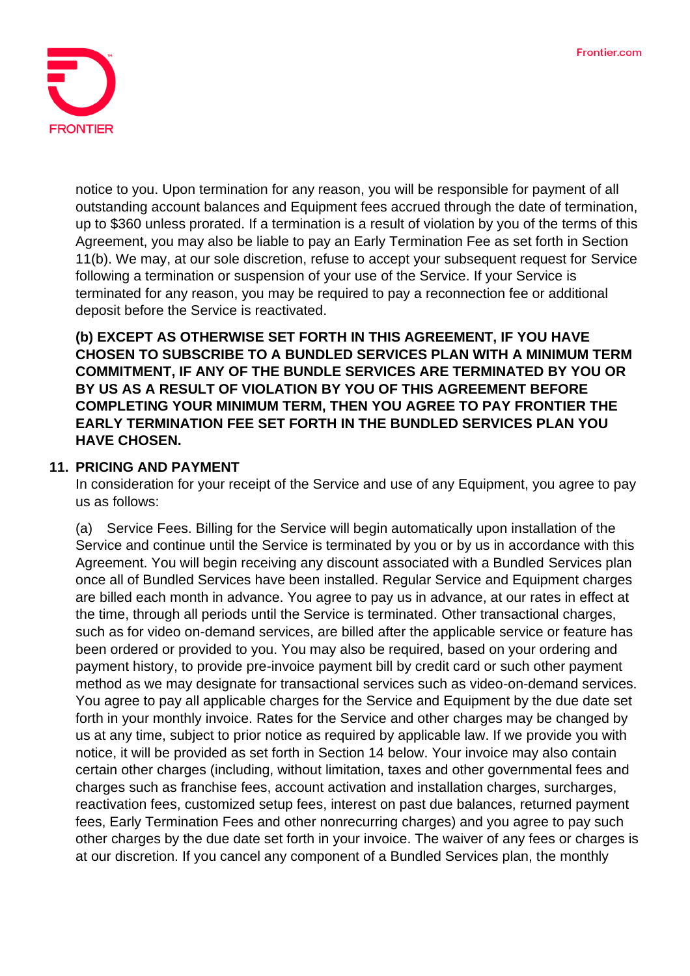

notice to you. Upon termination for any reason, you will be responsible for payment of all outstanding account balances and Equipment fees accrued through the date of termination, up to \$360 unless prorated. If a termination is a result of violation by you of the terms of this Agreement, you may also be liable to pay an Early Termination Fee as set forth in Section 11(b). We may, at our sole discretion, refuse to accept your subsequent request for Service following a termination or suspension of your use of the Service. If your Service is terminated for any reason, you may be required to pay a reconnection fee or additional deposit before the Service is reactivated.

**(b) EXCEPT AS OTHERWISE SET FORTH IN THIS AGREEMENT, IF YOU HAVE CHOSEN TO SUBSCRIBE TO A BUNDLED SERVICES PLAN WITH A MINIMUM TERM COMMITMENT, IF ANY OF THE BUNDLE SERVICES ARE TERMINATED BY YOU OR BY US AS A RESULT OF VIOLATION BY YOU OF THIS AGREEMENT BEFORE COMPLETING YOUR MINIMUM TERM, THEN YOU AGREE TO PAY FRONTIER THE EARLY TERMINATION FEE SET FORTH IN THE BUNDLED SERVICES PLAN YOU HAVE CHOSEN.**

#### **11. PRICING AND PAYMENT**

In consideration for your receipt of the Service and use of any Equipment, you agree to pay us as follows:

(a) Service Fees. Billing for the Service will begin automatically upon installation of the Service and continue until the Service is terminated by you or by us in accordance with this Agreement. You will begin receiving any discount associated with a Bundled Services plan once all of Bundled Services have been installed. Regular Service and Equipment charges are billed each month in advance. You agree to pay us in advance, at our rates in effect at the time, through all periods until the Service is terminated. Other transactional charges, such as for video on-demand services, are billed after the applicable service or feature has been ordered or provided to you. You may also be required, based on your ordering and payment history, to provide pre-invoice payment bill by credit card or such other payment method as we may designate for transactional services such as video-on-demand services. You agree to pay all applicable charges for the Service and Equipment by the due date set forth in your monthly invoice. Rates for the Service and other charges may be changed by us at any time, subject to prior notice as required by applicable law. If we provide you with notice, it will be provided as set forth in Section 14 below. Your invoice may also contain certain other charges (including, without limitation, taxes and other governmental fees and charges such as franchise fees, account activation and installation charges, surcharges, reactivation fees, customized setup fees, interest on past due balances, returned payment fees, Early Termination Fees and other nonrecurring charges) and you agree to pay such other charges by the due date set forth in your invoice. The waiver of any fees or charges is at our discretion. If you cancel any component of a Bundled Services plan, the monthly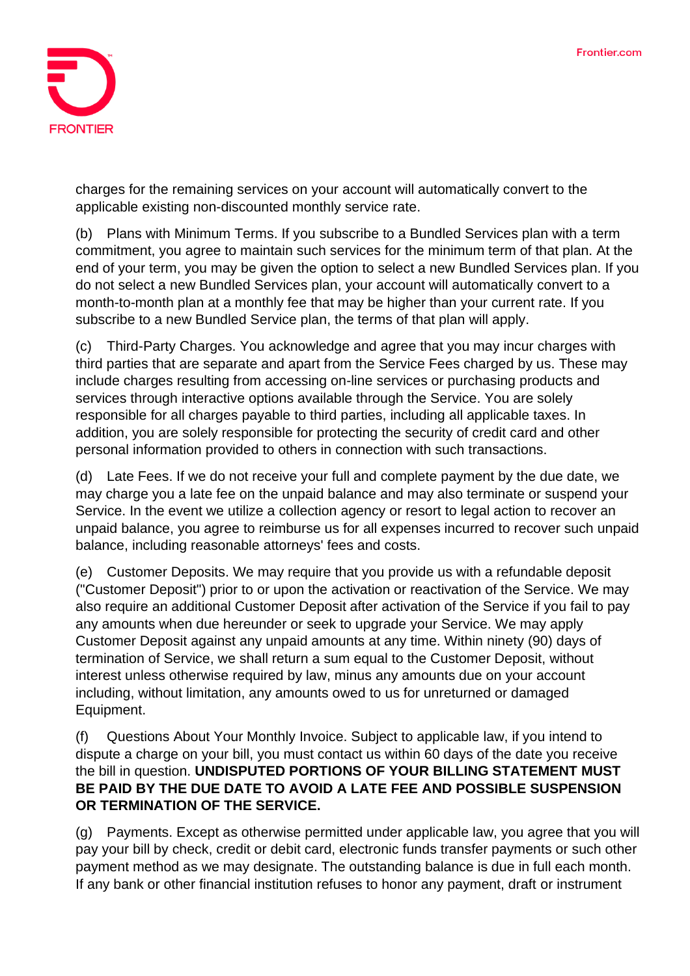

charges for the remaining services on your account will automatically convert to the applicable existing non-discounted monthly service rate.

(b) Plans with Minimum Terms. If you subscribe to a Bundled Services plan with a term commitment, you agree to maintain such services for the minimum term of that plan. At the end of your term, you may be given the option to select a new Bundled Services plan. If you do not select a new Bundled Services plan, your account will automatically convert to a month-to-month plan at a monthly fee that may be higher than your current rate. If you subscribe to a new Bundled Service plan, the terms of that plan will apply.

(c) Third-Party Charges. You acknowledge and agree that you may incur charges with third parties that are separate and apart from the Service Fees charged by us. These may include charges resulting from accessing on-line services or purchasing products and services through interactive options available through the Service. You are solely responsible for all charges payable to third parties, including all applicable taxes. In addition, you are solely responsible for protecting the security of credit card and other personal information provided to others in connection with such transactions.

(d) Late Fees. If we do not receive your full and complete payment by the due date, we may charge you a late fee on the unpaid balance and may also terminate or suspend your Service. In the event we utilize a collection agency or resort to legal action to recover an unpaid balance, you agree to reimburse us for all expenses incurred to recover such unpaid balance, including reasonable attorneys' fees and costs.

(e) Customer Deposits. We may require that you provide us with a refundable deposit ("Customer Deposit") prior to or upon the activation or reactivation of the Service. We may also require an additional Customer Deposit after activation of the Service if you fail to pay any amounts when due hereunder or seek to upgrade your Service. We may apply Customer Deposit against any unpaid amounts at any time. Within ninety (90) days of termination of Service, we shall return a sum equal to the Customer Deposit, without interest unless otherwise required by law, minus any amounts due on your account including, without limitation, any amounts owed to us for unreturned or damaged Equipment.

(f) Questions About Your Monthly Invoice. Subject to applicable law, if you intend to dispute a charge on your bill, you must contact us within 60 days of the date you receive the bill in question. **UNDISPUTED PORTIONS OF YOUR BILLING STATEMENT MUST BE PAID BY THE DUE DATE TO AVOID A LATE FEE AND POSSIBLE SUSPENSION OR TERMINATION OF THE SERVICE.**

(g) Payments. Except as otherwise permitted under applicable law, you agree that you will pay your bill by check, credit or debit card, electronic funds transfer payments or such other payment method as we may designate. The outstanding balance is due in full each month. If any bank or other financial institution refuses to honor any payment, draft or instrument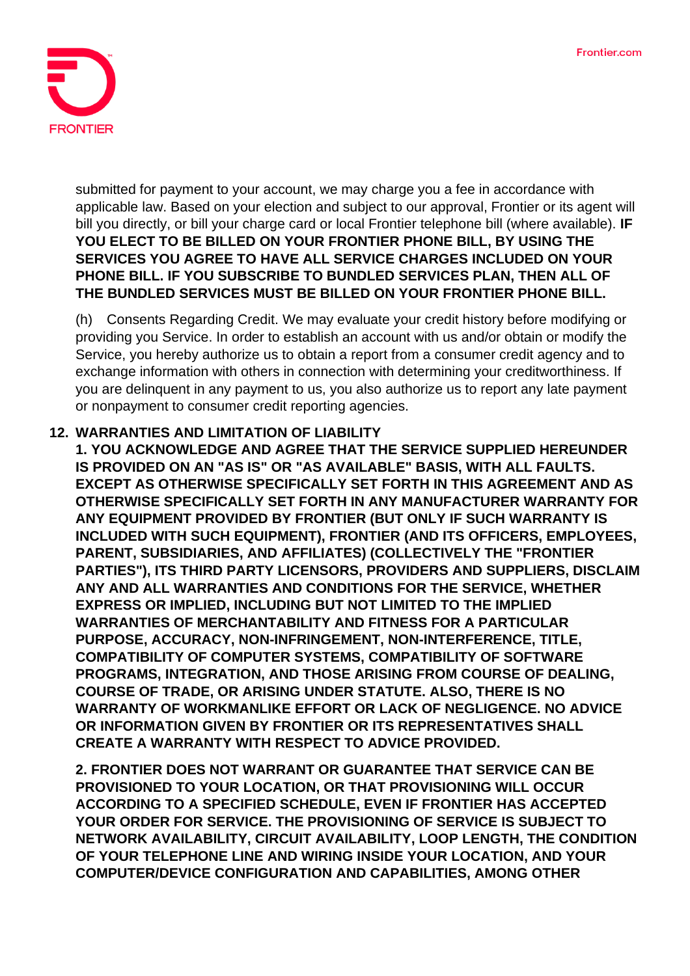

submitted for payment to your account, we may charge you a fee in accordance with applicable law. Based on your election and subject to our approval, Frontier or its agent will bill you directly, or bill your charge card or local Frontier telephone bill (where available). **IF YOU ELECT TO BE BILLED ON YOUR FRONTIER PHONE BILL, BY USING THE SERVICES YOU AGREE TO HAVE ALL SERVICE CHARGES INCLUDED ON YOUR PHONE BILL. IF YOU SUBSCRIBE TO BUNDLED SERVICES PLAN, THEN ALL OF THE BUNDLED SERVICES MUST BE BILLED ON YOUR FRONTIER PHONE BILL.**

(h) Consents Regarding Credit. We may evaluate your credit history before modifying or providing you Service. In order to establish an account with us and/or obtain or modify the Service, you hereby authorize us to obtain a report from a consumer credit agency and to exchange information with others in connection with determining your creditworthiness. If you are delinquent in any payment to us, you also authorize us to report any late payment or nonpayment to consumer credit reporting agencies.

#### **12. WARRANTIES AND LIMITATION OF LIABILITY**

**1. YOU ACKNOWLEDGE AND AGREE THAT THE SERVICE SUPPLIED HEREUNDER IS PROVIDED ON AN "AS IS" OR "AS AVAILABLE" BASIS, WITH ALL FAULTS. EXCEPT AS OTHERWISE SPECIFICALLY SET FORTH IN THIS AGREEMENT AND AS OTHERWISE SPECIFICALLY SET FORTH IN ANY MANUFACTURER WARRANTY FOR ANY EQUIPMENT PROVIDED BY FRONTIER (BUT ONLY IF SUCH WARRANTY IS INCLUDED WITH SUCH EQUIPMENT), FRONTIER (AND ITS OFFICERS, EMPLOYEES, PARENT, SUBSIDIARIES, AND AFFILIATES) (COLLECTIVELY THE "FRONTIER PARTIES"), ITS THIRD PARTY LICENSORS, PROVIDERS AND SUPPLIERS, DISCLAIM ANY AND ALL WARRANTIES AND CONDITIONS FOR THE SERVICE, WHETHER EXPRESS OR IMPLIED, INCLUDING BUT NOT LIMITED TO THE IMPLIED WARRANTIES OF MERCHANTABILITY AND FITNESS FOR A PARTICULAR PURPOSE, ACCURACY, NON-INFRINGEMENT, NON-INTERFERENCE, TITLE, COMPATIBILITY OF COMPUTER SYSTEMS, COMPATIBILITY OF SOFTWARE PROGRAMS, INTEGRATION, AND THOSE ARISING FROM COURSE OF DEALING, COURSE OF TRADE, OR ARISING UNDER STATUTE. ALSO, THERE IS NO WARRANTY OF WORKMANLIKE EFFORT OR LACK OF NEGLIGENCE. NO ADVICE OR INFORMATION GIVEN BY FRONTIER OR ITS REPRESENTATIVES SHALL CREATE A WARRANTY WITH RESPECT TO ADVICE PROVIDED.**

**2. FRONTIER DOES NOT WARRANT OR GUARANTEE THAT SERVICE CAN BE PROVISIONED TO YOUR LOCATION, OR THAT PROVISIONING WILL OCCUR ACCORDING TO A SPECIFIED SCHEDULE, EVEN IF FRONTIER HAS ACCEPTED YOUR ORDER FOR SERVICE. THE PROVISIONING OF SERVICE IS SUBJECT TO NETWORK AVAILABILITY, CIRCUIT AVAILABILITY, LOOP LENGTH, THE CONDITION OF YOUR TELEPHONE LINE AND WIRING INSIDE YOUR LOCATION, AND YOUR COMPUTER/DEVICE CONFIGURATION AND CAPABILITIES, AMONG OTHER**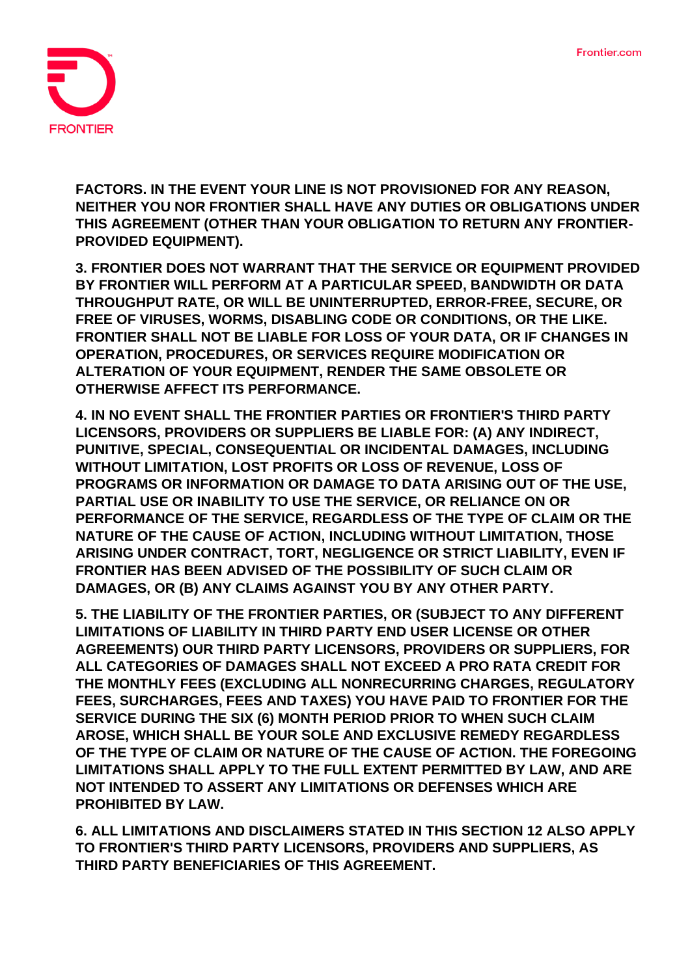

**FACTORS. IN THE EVENT YOUR LINE IS NOT PROVISIONED FOR ANY REASON, NEITHER YOU NOR FRONTIER SHALL HAVE ANY DUTIES OR OBLIGATIONS UNDER THIS AGREEMENT (OTHER THAN YOUR OBLIGATION TO RETURN ANY FRONTIER-PROVIDED EQUIPMENT).**

**3. FRONTIER DOES NOT WARRANT THAT THE SERVICE OR EQUIPMENT PROVIDED BY FRONTIER WILL PERFORM AT A PARTICULAR SPEED, BANDWIDTH OR DATA THROUGHPUT RATE, OR WILL BE UNINTERRUPTED, ERROR-FREE, SECURE, OR FREE OF VIRUSES, WORMS, DISABLING CODE OR CONDITIONS, OR THE LIKE. FRONTIER SHALL NOT BE LIABLE FOR LOSS OF YOUR DATA, OR IF CHANGES IN OPERATION, PROCEDURES, OR SERVICES REQUIRE MODIFICATION OR ALTERATION OF YOUR EQUIPMENT, RENDER THE SAME OBSOLETE OR OTHERWISE AFFECT ITS PERFORMANCE.**

**4. IN NO EVENT SHALL THE FRONTIER PARTIES OR FRONTIER'S THIRD PARTY LICENSORS, PROVIDERS OR SUPPLIERS BE LIABLE FOR: (A) ANY INDIRECT, PUNITIVE, SPECIAL, CONSEQUENTIAL OR INCIDENTAL DAMAGES, INCLUDING WITHOUT LIMITATION, LOST PROFITS OR LOSS OF REVENUE, LOSS OF PROGRAMS OR INFORMATION OR DAMAGE TO DATA ARISING OUT OF THE USE, PARTIAL USE OR INABILITY TO USE THE SERVICE, OR RELIANCE ON OR PERFORMANCE OF THE SERVICE, REGARDLESS OF THE TYPE OF CLAIM OR THE NATURE OF THE CAUSE OF ACTION, INCLUDING WITHOUT LIMITATION, THOSE ARISING UNDER CONTRACT, TORT, NEGLIGENCE OR STRICT LIABILITY, EVEN IF FRONTIER HAS BEEN ADVISED OF THE POSSIBILITY OF SUCH CLAIM OR DAMAGES, OR (B) ANY CLAIMS AGAINST YOU BY ANY OTHER PARTY.**

**5. THE LIABILITY OF THE FRONTIER PARTIES, OR (SUBJECT TO ANY DIFFERENT LIMITATIONS OF LIABILITY IN THIRD PARTY END USER LICENSE OR OTHER AGREEMENTS) OUR THIRD PARTY LICENSORS, PROVIDERS OR SUPPLIERS, FOR ALL CATEGORIES OF DAMAGES SHALL NOT EXCEED A PRO RATA CREDIT FOR THE MONTHLY FEES (EXCLUDING ALL NONRECURRING CHARGES, REGULATORY FEES, SURCHARGES, FEES AND TAXES) YOU HAVE PAID TO FRONTIER FOR THE SERVICE DURING THE SIX (6) MONTH PERIOD PRIOR TO WHEN SUCH CLAIM AROSE, WHICH SHALL BE YOUR SOLE AND EXCLUSIVE REMEDY REGARDLESS OF THE TYPE OF CLAIM OR NATURE OF THE CAUSE OF ACTION. THE FOREGOING LIMITATIONS SHALL APPLY TO THE FULL EXTENT PERMITTED BY LAW, AND ARE NOT INTENDED TO ASSERT ANY LIMITATIONS OR DEFENSES WHICH ARE PROHIBITED BY LAW.**

**6. ALL LIMITATIONS AND DISCLAIMERS STATED IN THIS SECTION 12 ALSO APPLY TO FRONTIER'S THIRD PARTY LICENSORS, PROVIDERS AND SUPPLIERS, AS THIRD PARTY BENEFICIARIES OF THIS AGREEMENT.**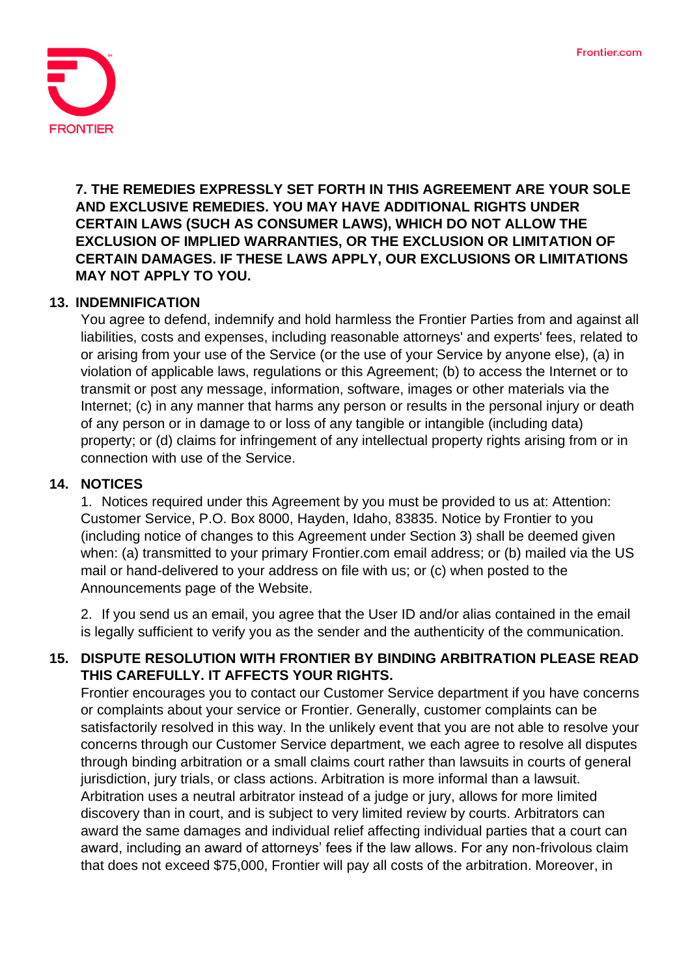

**7. THE REMEDIES EXPRESSLY SET FORTH IN THIS AGREEMENT ARE YOUR SOLE AND EXCLUSIVE REMEDIES. YOU MAY HAVE ADDITIONAL RIGHTS UNDER CERTAIN LAWS (SUCH AS CONSUMER LAWS), WHICH DO NOT ALLOW THE EXCLUSION OF IMPLIED WARRANTIES, OR THE EXCLUSION OR LIMITATION OF CERTAIN DAMAGES. IF THESE LAWS APPLY, OUR EXCLUSIONS OR LIMITATIONS MAY NOT APPLY TO YOU.**

#### **13. INDEMNIFICATION**

You agree to defend, indemnify and hold harmless the Frontier Parties from and against all liabilities, costs and expenses, including reasonable attorneys' and experts' fees, related to or arising from your use of the Service (or the use of your Service by anyone else), (a) in violation of applicable laws, regulations or this Agreement; (b) to access the Internet or to transmit or post any message, information, software, images or other materials via the Internet; (c) in any manner that harms any person or results in the personal injury or death of any person or in damage to or loss of any tangible or intangible (including data) property; or (d) claims for infringement of any intellectual property rights arising from or in connection with use of the Service.

#### **14. NOTICES**

1. Notices required under this Agreement by you must be provided to us at: Attention: Customer Service, P.O. Box 8000, Hayden, Idaho, 83835. Notice by Frontier to you (including notice of changes to this Agreement under Section 3) shall be deemed given when: (a) transmitted to your primary Frontier.com email address; or (b) mailed via the US mail or hand-delivered to your address on file with us; or (c) when posted to the Announcements page of the Website.

2. If you send us an email, you agree that the User ID and/or alias contained in the email is legally sufficient to verify you as the sender and the authenticity of the communication.

#### **15. DISPUTE RESOLUTION WITH FRONTIER BY BINDING ARBITRATION PLEASE READ THIS CAREFULLY. IT AFFECTS YOUR RIGHTS.**

Frontier encourages you to contact our Customer Service department if you have concerns or complaints about your service or Frontier. Generally, customer complaints can be satisfactorily resolved in this way. In the unlikely event that you are not able to resolve your concerns through our Customer Service department, we each agree to resolve all disputes through binding arbitration or a small claims court rather than lawsuits in courts of general jurisdiction, jury trials, or class actions. Arbitration is more informal than a lawsuit. Arbitration uses a neutral arbitrator instead of a judge or jury, allows for more limited discovery than in court, and is subject to very limited review by courts. Arbitrators can award the same damages and individual relief affecting individual parties that a court can award, including an award of attorneys' fees if the law allows. For any non-frivolous claim that does not exceed \$75,000, Frontier will pay all costs of the arbitration. Moreover, in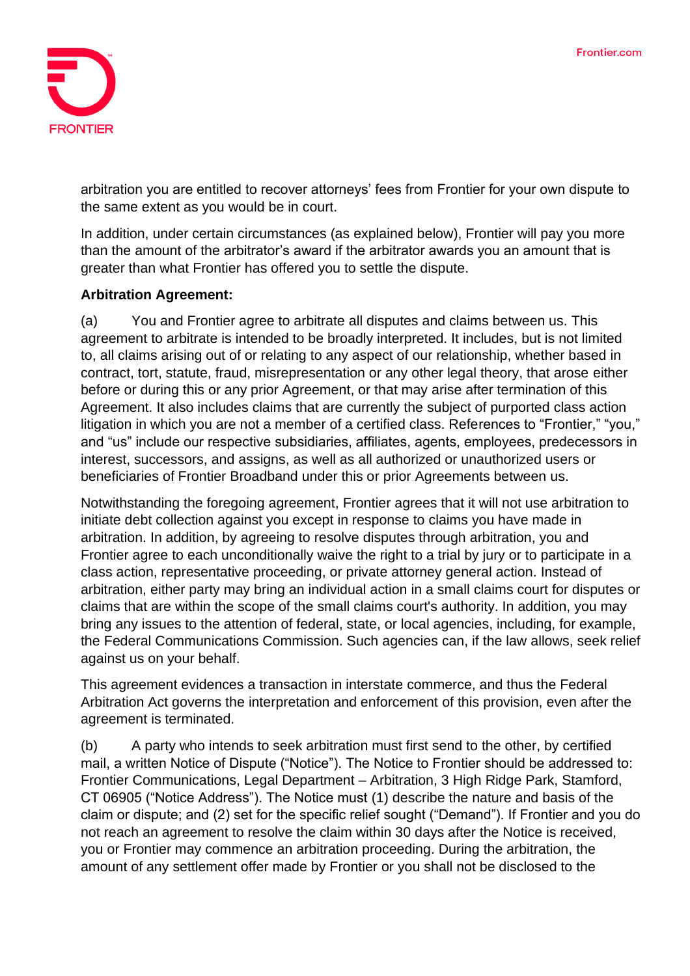

arbitration you are entitled to recover attorneys' fees from Frontier for your own dispute to the same extent as you would be in court.

In addition, under certain circumstances (as explained below), Frontier will pay you more than the amount of the arbitrator's award if the arbitrator awards you an amount that is greater than what Frontier has offered you to settle the dispute.

## **Arbitration Agreement:**

(a) You and Frontier agree to arbitrate all disputes and claims between us. This agreement to arbitrate is intended to be broadly interpreted. It includes, but is not limited to, all claims arising out of or relating to any aspect of our relationship, whether based in contract, tort, statute, fraud, misrepresentation or any other legal theory, that arose either before or during this or any prior Agreement, or that may arise after termination of this Agreement. It also includes claims that are currently the subject of purported class action litigation in which you are not a member of a certified class. References to "Frontier," "you," and "us" include our respective subsidiaries, affiliates, agents, employees, predecessors in interest, successors, and assigns, as well as all authorized or unauthorized users or beneficiaries of Frontier Broadband under this or prior Agreements between us.

Notwithstanding the foregoing agreement, Frontier agrees that it will not use arbitration to initiate debt collection against you except in response to claims you have made in arbitration. In addition, by agreeing to resolve disputes through arbitration, you and Frontier agree to each unconditionally waive the right to a trial by jury or to participate in a class action, representative proceeding, or private attorney general action. Instead of arbitration, either party may bring an individual action in a small claims court for disputes or claims that are within the scope of the small claims court's authority. In addition, you may bring any issues to the attention of federal, state, or local agencies, including, for example, the Federal Communications Commission. Such agencies can, if the law allows, seek relief against us on your behalf.

This agreement evidences a transaction in interstate commerce, and thus the Federal Arbitration Act governs the interpretation and enforcement of this provision, even after the agreement is terminated.

(b) A party who intends to seek arbitration must first send to the other, by certified mail, a written Notice of Dispute ("Notice"). The Notice to Frontier should be addressed to: Frontier Communications, Legal Department – Arbitration, 3 High Ridge Park, Stamford, CT 06905 ("Notice Address"). The Notice must (1) describe the nature and basis of the claim or dispute; and (2) set for the specific relief sought ("Demand"). If Frontier and you do not reach an agreement to resolve the claim within 30 days after the Notice is received, you or Frontier may commence an arbitration proceeding. During the arbitration, the amount of any settlement offer made by Frontier or you shall not be disclosed to the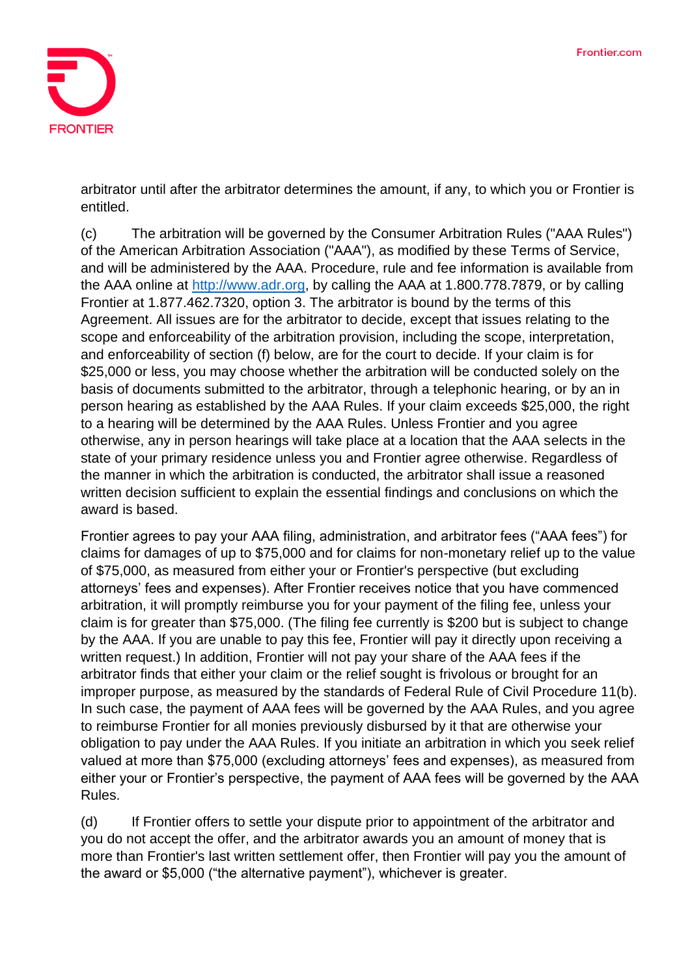

arbitrator until after the arbitrator determines the amount, if any, to which you or Frontier is entitled.

(c) The arbitration will be governed by the Consumer Arbitration Rules ("AAA Rules") of the American Arbitration Association ("AAA"), as modified by these Terms of Service, and will be administered by the AAA. Procedure, rule and fee information is available from the AAA online at [http://www.adr.org,](http://www.adr.org/) by calling the AAA at 1.800.778.7879, or by calling Frontier at 1.877.462.7320, option 3. The arbitrator is bound by the terms of this Agreement. All issues are for the arbitrator to decide, except that issues relating to the scope and enforceability of the arbitration provision, including the scope, interpretation, and enforceability of section (f) below, are for the court to decide. If your claim is for \$25,000 or less, you may choose whether the arbitration will be conducted solely on the basis of documents submitted to the arbitrator, through a telephonic hearing, or by an in person hearing as established by the AAA Rules. If your claim exceeds \$25,000, the right to a hearing will be determined by the AAA Rules. Unless Frontier and you agree otherwise, any in person hearings will take place at a location that the AAA selects in the state of your primary residence unless you and Frontier agree otherwise. Regardless of the manner in which the arbitration is conducted, the arbitrator shall issue a reasoned written decision sufficient to explain the essential findings and conclusions on which the award is based.

Frontier agrees to pay your AAA filing, administration, and arbitrator fees ("AAA fees") for claims for damages of up to \$75,000 and for claims for non-monetary relief up to the value of \$75,000, as measured from either your or Frontier's perspective (but excluding attorneys' fees and expenses). After Frontier receives notice that you have commenced arbitration, it will promptly reimburse you for your payment of the filing fee, unless your claim is for greater than \$75,000. (The filing fee currently is \$200 but is subject to change by the AAA. If you are unable to pay this fee, Frontier will pay it directly upon receiving a written request.) In addition, Frontier will not pay your share of the AAA fees if the arbitrator finds that either your claim or the relief sought is frivolous or brought for an improper purpose, as measured by the standards of Federal Rule of Civil Procedure 11(b). In such case, the payment of AAA fees will be governed by the AAA Rules, and you agree to reimburse Frontier for all monies previously disbursed by it that are otherwise your obligation to pay under the AAA Rules. If you initiate an arbitration in which you seek relief valued at more than \$75,000 (excluding attorneys' fees and expenses), as measured from either your or Frontier's perspective, the payment of AAA fees will be governed by the AAA Rules.

(d) If Frontier offers to settle your dispute prior to appointment of the arbitrator and you do not accept the offer, and the arbitrator awards you an amount of money that is more than Frontier's last written settlement offer, then Frontier will pay you the amount of the award or \$5,000 ("the alternative payment"), whichever is greater.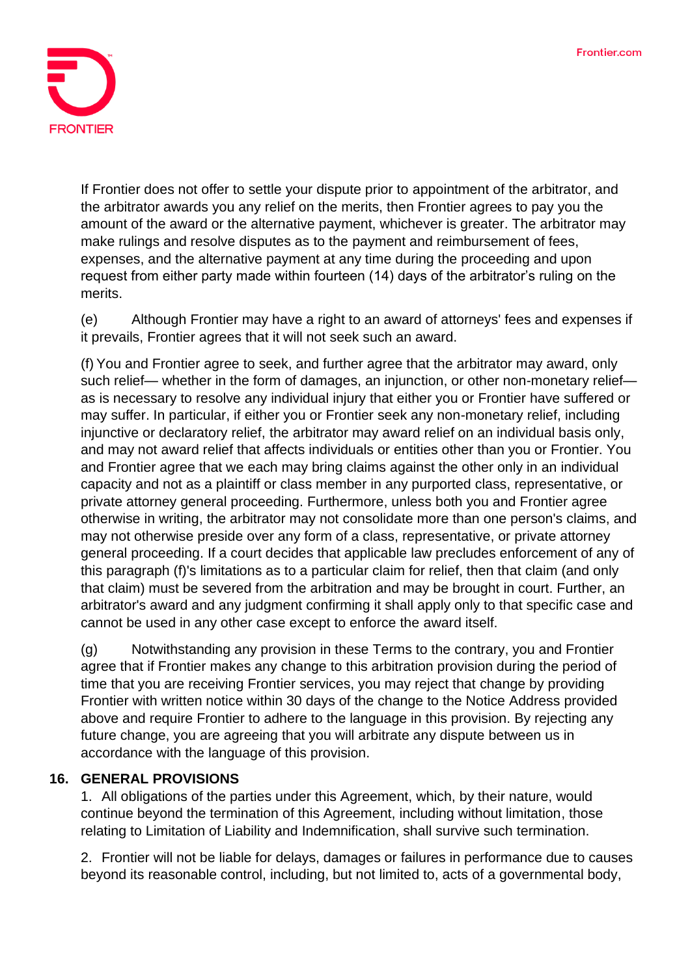

If Frontier does not offer to settle your dispute prior to appointment of the arbitrator, and the arbitrator awards you any relief on the merits, then Frontier agrees to pay you the amount of the award or the alternative payment, whichever is greater. The arbitrator may make rulings and resolve disputes as to the payment and reimbursement of fees, expenses, and the alternative payment at any time during the proceeding and upon request from either party made within fourteen (14) days of the arbitrator's ruling on the merits.

(e) Although Frontier may have a right to an award of attorneys' fees and expenses if it prevails, Frontier agrees that it will not seek such an award.

(f) You and Frontier agree to seek, and further agree that the arbitrator may award, only such relief— whether in the form of damages, an injunction, or other non-monetary relief as is necessary to resolve any individual injury that either you or Frontier have suffered or may suffer. In particular, if either you or Frontier seek any non-monetary relief, including injunctive or declaratory relief, the arbitrator may award relief on an individual basis only, and may not award relief that affects individuals or entities other than you or Frontier. You and Frontier agree that we each may bring claims against the other only in an individual capacity and not as a plaintiff or class member in any purported class, representative, or private attorney general proceeding. Furthermore, unless both you and Frontier agree otherwise in writing, the arbitrator may not consolidate more than one person's claims, and may not otherwise preside over any form of a class, representative, or private attorney general proceeding. If a court decides that applicable law precludes enforcement of any of this paragraph (f)'s limitations as to a particular claim for relief, then that claim (and only that claim) must be severed from the arbitration and may be brought in court. Further, an arbitrator's award and any judgment confirming it shall apply only to that specific case and cannot be used in any other case except to enforce the award itself.

(g) Notwithstanding any provision in these Terms to the contrary, you and Frontier agree that if Frontier makes any change to this arbitration provision during the period of time that you are receiving Frontier services, you may reject that change by providing Frontier with written notice within 30 days of the change to the Notice Address provided above and require Frontier to adhere to the language in this provision. By rejecting any future change, you are agreeing that you will arbitrate any dispute between us in accordance with the language of this provision.

#### **16. GENERAL PROVISIONS**

1. All obligations of the parties under this Agreement, which, by their nature, would continue beyond the termination of this Agreement, including without limitation, those relating to Limitation of Liability and Indemnification, shall survive such termination.

2. Frontier will not be liable for delays, damages or failures in performance due to causes beyond its reasonable control, including, but not limited to, acts of a governmental body,